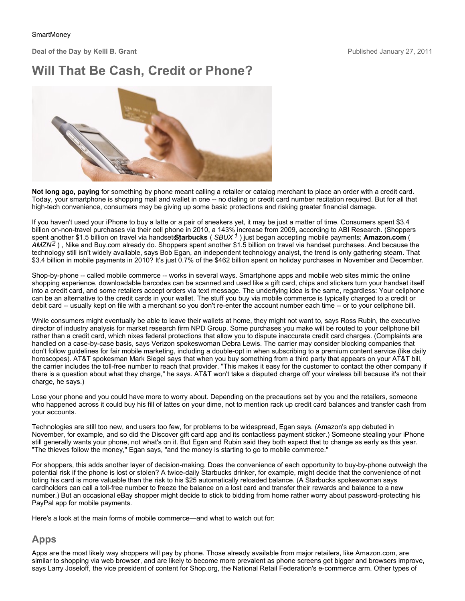**Deal of the Day by Kelli B. Grant** 

## **Will That Be Cash, Credit or Phone?**



**Not long ago, paying** for something by phone meant calling a retailer or catalog merchant to place an order with a credit card. Today, your smartphone is shopping mall and wallet in one -- no dialing or credit card number recitation required. But for all that high-tech convenience, consumers may be giving up some basic protections and risking greater financial damage.

If you haven't used your iPhone to buy a latte or a pair of sneakers yet, it may be just a matter of time. Consumers spent \$3.4 billion on-non-travel purchases via their cell phone in 2010, a 143% increase from 2009, according to ABI Research. (Shoppers spent another \$1.5 billion on travel via handsetStarbucks (SBUX<sup>1</sup>) just began accepting mobile payments; Amazon.com ( *AMZN2* ) , Nike and Buy.com already do. Shoppers spent another \$1.5 billion on travel via handset purchases. And because the technology still isn't widely available, says Bob Egan, an independent technology analyst, the trend is only gathering steam. That \$3.4 billion in mobile payments in 2010? It's just 0.7% of the \$462 billion spent on holiday purchases in November and December.

Shop-by-phone -- called mobile commerce -- works in several ways. Smartphone apps and mobile web sites mimic the online shopping experience, downloadable barcodes can be scanned and used like a gift card, chips and stickers turn your handset itself into a credit card, and some retailers accept orders via text message. The underlying idea is the same, regardless: Your cellphone can be an alternative to the credit cards in your wallet. The stuff you buy via mobile commerce is typically charged to a credit or debit card -- usually kept on file with a merchant so you don't re-enter the account number each time -- or to your cellphone bill.

While consumers might eventually be able to leave their wallets at home, they might not want to, says Ross Rubin, the executive director of industry analysis for market research firm NPD Group. Some purchases you make will be routed to your cellphone bill rather than a credit card, which nixes federal protections that allow you to dispute inaccurate credit card charges. (Complaints are handled on a case-by-case basis, says Verizon spokeswoman Debra Lewis. The carrier may consider blocking companies that don't follow guidelines for fair mobile marketing, including a double-opt in when subscribing to a premium content service (like daily horoscopes). AT&T spokesman Mark Siegel says that when you buy something from a third party that appears on your AT&T bill, the carrier includes the toll-free number to reach that provider. "This makes it easy for the customer to contact the other company if there is a question about what they charge," he says. AT&T won't take a disputed charge off your wireless bill because it's not their charge, he says.)

Lose your phone and you could have more to worry about. Depending on the precautions set by you and the retailers, someone who happened across it could buy his fill of lattes on your dime, not to mention rack up credit card balances and transfer cash from your accounts.

Technologies are still too new, and users too few, for problems to be widespread, Egan says. (Amazon's app debuted in November, for example, and so did the Discover gift card app and its contactless payment sticker.) Someone stealing your iPhone still generally wants your phone, not what's on it. But Egan and Rubin said they both expect that to change as early as this year. "The thieves follow the money," Egan says, "and the money is starting to go to mobile commerce."

For shoppers, this adds another layer of decision-making. Does the convenience of each opportunity to buy-by-phone outweigh the potential risk if the phone is lost or stolen? A twice-daily Starbucks drinker, for example, might decide that the convenience of not toting his card is more valuable than the risk to his \$25 automatically reloaded balance. (A Starbucks spokeswoman says cardholders can call a toll-free number to freeze the balance on a lost card and transfer their rewards and balance to a new number.) But an occasional eBay shopper might decide to stick to bidding from home rather worry about password-protecting his PayPal app for mobile payments.

Here's a look at the main forms of mobile commerce—and what to watch out for:

## **Apps**

Apps are the most likely way shoppers will pay by phone. Those already available from major retailers, like Amazon.com, are similar to shopping via web browser, and are likely to become more prevalent as phone screens get bigger and browsers improve, says Larry Joseloff, the vice president of content for Shop.org, the National Retail Federation's e-commerce arm. Other types of